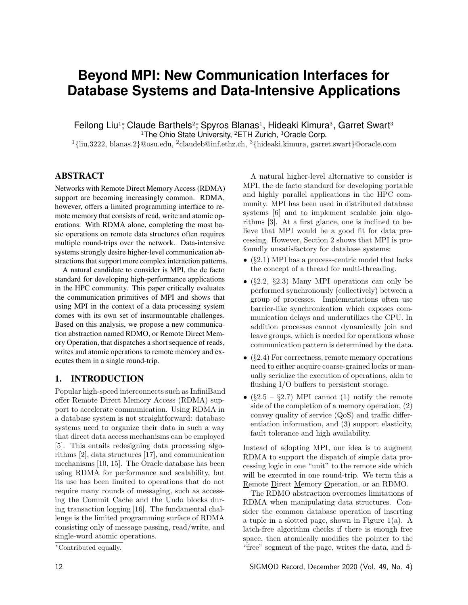# **Beyond MPI: New Communication Interfaces for Database Systems and Data-Intensive Applications**

Feilong Liu<sup>1</sup>; Claude Barthels<sup>2</sup>; Spyros Blanas<sup>1</sup>, Hideaki Kimura<sup>3</sup>, Garret Swart<sup>3</sup>

<sup>1</sup>The Ohio State University,  ${}^{2}$ ETH Zurich,  ${}^{3}$ Oracle Corp.

<sup>1</sup>*{*liu.3222, blanas.2*}*@osu.edu, <sup>2</sup>claudeb@inf.ethz.ch, <sup>3</sup>*{*hideaki.kimura, garret.swart*}*@oracle.com

# ABSTRACT

Networks with Remote Direct Memory Access (RDMA) support are becoming increasingly common. RDMA, however, offers a limited programming interface to remote memory that consists of read, write and atomic operations. With RDMA alone, completing the most basic operations on remote data structures often requires multiple round-trips over the network. Data-intensive systems strongly desire higher-level communication abstractions that support more complex interaction patterns.

A natural candidate to consider is MPI, the de facto standard for developing high-performance applications in the HPC community. This paper critically evaluates the communication primitives of MPI and shows that using MPI in the context of a data processing system comes with its own set of insurmountable challenges. Based on this analysis, we propose a new communication abstraction named RDMO, or Remote Direct Memory Operation, that dispatches a short sequence of reads, writes and atomic operations to remote memory and executes them in a single round-trip.

# 1. INTRODUCTION

Popular high-speed interconnects such as InfiniBand offer Remote Direct Memory Access (RDMA) support to accelerate communication. Using RDMA in a database system is not straightforward: database systems need to organize their data in such a way that direct data access mechanisms can be employed [5]. This entails redesigning data processing algorithms [2], data structures [17], and communication mechanisms [10, 15]. The Oracle database has been using RDMA for performance and scalability, but its use has been limited to operations that do not require many rounds of messaging, such as accessing the Commit Cache and the Undo blocks during transaction logging [16]. The fundamental challenge is the limited programming surface of RDMA consisting only of message passing, read/write, and single-word atomic operations.

A natural higher-level alternative to consider is MPI, the de facto standard for developing portable and highly parallel applications in the HPC community. MPI has been used in distributed database systems [6] and to implement scalable join algorithms [3]. At a first glance, one is inclined to believe that MPI would be a good fit for data processing. However, Section 2 shows that MPI is profoundly unsatisfactory for database systems:

- *•* (*§*2.1) MPI has a process-centric model that lacks the concept of a thread for multi-threading.
- *•* (*§*2.2, *§*2.3) Many MPI operations can only be performed synchronously (collectively) between a group of processes. Implementations often use barrier-like synchronization which exposes communication delays and underutilizes the CPU. In addition processes cannot dynamically join and leave groups, which is needed for operations whose communication pattern is determined by the data.
- *•* (*§*2.4) For correctness, remote memory operations need to either acquire coarse-grained locks or manually serialize the execution of operations, akin to flushing  $I/O$  buffers to persistent storage.
- $(\S 2.5 \S 2.7)$  MPI cannot (1) notify the remote side of the completion of a memory operation, (2) convey quality of service  $(QoS)$  and traffic differentiation information, and (3) support elasticity, fault tolerance and high availability.

Instead of adopting MPI, our idea is to augment RDMA to support the dispatch of simple data processing logic in one "unit" to the remote side which will be executed in one round-trip. We term this a Remote Direct Memory Operation, or an RDMO.

The RDMO abstraction overcomes limitations of RDMA when manipulating data structures. Consider the common database operation of inserting a tuple in a slotted page, shown in Figure 1(a). A latch-free algorithm checks if there is enough free space, then atomically modifies the pointer to the "free" segment of the page, writes the data, and fi-

<sup>⇤</sup>Contributed equally.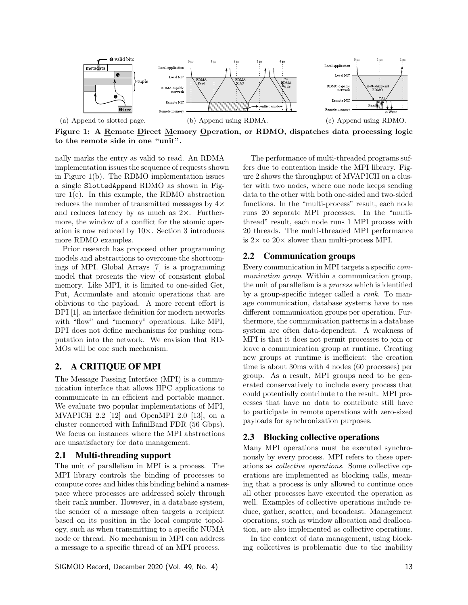

Figure 1: A Remote Direct Memory Operation, or RDMO, dispatches data processing logic to the remote side in one "unit".

nally marks the entry as valid to read. An RDMA implementation issues the sequence of requests shown in Figure 1(b). The RDMO implementation issues a single SlottedAppend RDMO as shown in Figure 1(c). In this example, the RDMO abstraction reduces the number of transmitted messages by  $4\times$ and reduces latency by as much as  $2\times$ . Furthermore, the window of a conflict for the atomic operation is now reduced by  $10 \times$ . Section 3 introduces more RDMO examples.

Prior research has proposed other programming models and abstractions to overcome the shortcomings of MPI. Global Arrays [7] is a programming model that presents the view of consistent global memory. Like MPI, it is limited to one-sided Get, Put, Accumulate and atomic operations that are oblivious to the payload. A more recent effort is DPI [1], an interface definition for modern networks with "flow" and "memory" operations. Like MPI, DPI does not define mechanisms for pushing computation into the network. We envision that RD-MOs will be one such mechanism.

#### 2. A CRITIQUE OF MPI

The Message Passing Interface (MPI) is a communication interface that allows HPC applications to communicate in an efficient and portable manner. We evaluate two popular implementations of MPI, MVAPICH 2.2 [12] and OpenMPI 2.0 [13], on a cluster connected with InfiniBand FDR (56 Gbps). We focus on instances where the MPI abstractions are unsatisfactory for data management.

#### 2.1 Multi-threading support

The unit of parallelism in MPI is a process. The MPI library controls the binding of processes to compute cores and hides this binding behind a namespace where processes are addressed solely through their rank number. However, in a database system, the sender of a message often targets a recipient based on its position in the local compute topology, such as when transmitting to a specific NUMA node or thread. No mechanism in MPI can address a message to a specific thread of an MPI process.

The performance of multi-threaded programs suffers due to contention inside the MPI library. Figure 2 shows the throughput of MVAPICH on a cluster with two nodes, where one node keeps sending data to the other with both one-sided and two-sided functions. In the "multi-process" result, each node runs 20 separate MPI processes. In the "multithread" result, each node runs 1 MPI process with 20 threads. The multi-threaded MPI performance is  $2 \times$  to  $20 \times$  slower than multi-process MPI.

# 2.2 Communication groups

Every communication in MPI targets a specific *communication group*. Within a communication group, the unit of parallelism is a *process* which is identified by a group-specific integer called a *rank*. To manage communication, database systems have to use different communication groups per operation. Furthermore, the communication patterns in a database system are often data-dependent. A weakness of MPI is that it does not permit processes to join or leave a communication group at runtime. Creating new groups at runtime is inefficient: the creation time is about 30ms with 4 nodes (60 processes) per group. As a result, MPI groups need to be generated conservatively to include every process that could potentially contribute to the result. MPI processes that have no data to contribute still have to participate in remote operations with zero-sized payloads for synchronization purposes.

# 2.3 Blocking collective operations

Many MPI operations must be executed synchronously by every process. MPI refers to these operations as *collective operations*. Some collective operations are implemented as blocking calls, meaning that a process is only allowed to continue once all other processes have executed the operation as well. Examples of collective operations include reduce, gather, scatter, and broadcast. Management operations, such as window allocation and deallocation, are also implemented as collective operations.

In the context of data management, using blocking collectives is problematic due to the inability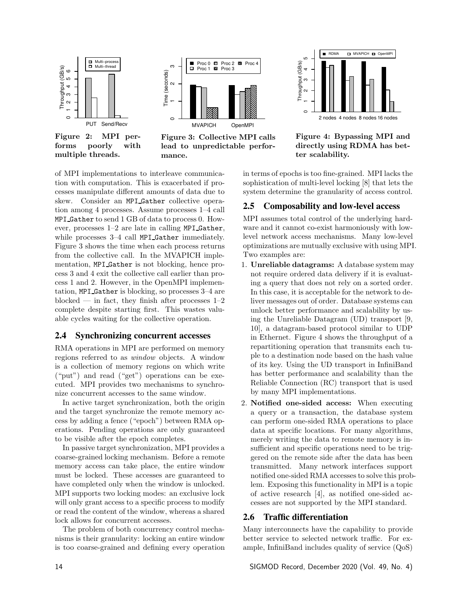

Figure 2: MPI performs poorly with multiple threads.



Figure 3: Collective MPI calls lead to unpredictable performance.



Figure 4: Bypassing MPI and directly using RDMA has better scalability.

of MPI implementations to interleave communication with computation. This is exacerbated if processes manipulate different amounts of data due to skew. Consider an MPI Gather collective operation among 4 processes. Assume processes 1–4 call MPI Gather to send 1 GB of data to process 0. However, processes 1–2 are late in calling MPI Gather, while processes 3–4 call MPI Gather immediately. Figure 3 shows the time when each process returns from the collective call. In the MVAPICH implementation, MPI Gather is not blocking, hence process 3 and 4 exit the collective call earlier than process 1 and 2. However, in the OpenMPI implementation, MPI Gather is blocking, so processes 3–4 are blocked — in fact, they finish after processes  $1-2$ complete despite starting first. This wastes valuable cycles waiting for the collective operation.

#### 2.4 Synchronizing concurrent accesses

RMA operations in MPI are performed on memory regions referred to as *window* objects. A window is a collection of memory regions on which write ("put") and read ("get") operations can be executed. MPI provides two mechanisms to synchronize concurrent accesses to the same window.

In active target synchronization, both the origin and the target synchronize the remote memory access by adding a fence ("epoch") between RMA operations. Pending operations are only guaranteed to be visible after the epoch completes.

In passive target synchronization, MPI provides a coarse-grained locking mechanism. Before a remote memory access can take place, the entire window must be locked. These accesses are guaranteed to have completed only when the window is unlocked. MPI supports two locking modes: an exclusive lock will only grant access to a specific process to modify or read the content of the window, whereas a shared lock allows for concurrent accesses.

The problem of both concurrency control mechanisms is their granularity: locking an entire window is too coarse-grained and defining every operation in terms of epochs is too fine-grained. MPI lacks the sophistication of multi-level locking [8] that lets the system determine the granularity of access control.

# 2.5 Composability and low-level access

MPI assumes total control of the underlying hardware and it cannot co-exist harmoniously with lowlevel network access mechanisms. Many low-level optimizations are mutually exclusive with using MPI. Two examples are:

- 1. Unreliable datagrams: A database system may not require ordered data delivery if it is evaluating a query that does not rely on a sorted order. In this case, it is acceptable for the network to deliver messages out of order. Database systems can unlock better performance and scalability by using the Unreliable Datagram (UD) transport [9, 10], a datagram-based protocol similar to UDP in Ethernet. Figure 4 shows the throughput of a repartitioning operation that transmits each tuple to a destination node based on the hash value of its key. Using the UD transport in InfiniBand has better performance and scalability than the Reliable Connection (RC) transport that is used by many MPI implementations.
- 2. Notified one-sided access: When executing a query or a transaction, the database system can perform one-sided RMA operations to place data at specific locations. For many algorithms, merely writing the data to remote memory is insufficient and specific operations need to be triggered on the remote side after the data has been transmitted. Many network interfaces support notified one-sided RMA accesses to solve this problem. Exposing this functionality in MPI is a topic of active research [4], as notified one-sided accesses are not supported by the MPI standard.

# 2.6 Traffic differentiation

Many interconnects have the capability to provide better service to selected network traffic. For example, InfiniBand includes quality of service (QoS)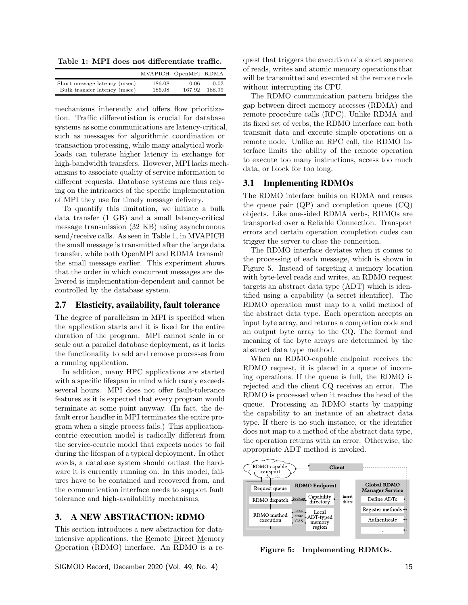Table 1: MPI does not differentiate traffic.

|                              | MVAPICH OpenMPI RDMA |        |        |
|------------------------------|----------------------|--------|--------|
| Short message latency (msec) | 186.08               | 0.06   | 0.03   |
| Bulk transfer latency (msec) | 186.08               | 167.92 | 188.99 |

mechanisms inherently and offers flow prioritization. Traffic differentiation is crucial for database systems as some communications are latency-critical, such as messages for algorithmic coordination or transaction processing, while many analytical workloads can tolerate higher latency in exchange for high-bandwidth transfers. However, MPI lacks mechanisms to associate quality of service information to different requests. Database systems are thus relying on the intricacies of the specific implementation of MPI they use for timely message delivery.

To quantify this limitation, we initiate a bulk data transfer (1 GB) and a small latency-critical message transmission (32 KB) using asynchronous send/receive calls. As seen in Table 1, in MVAPICH the small message is transmitted after the large data transfer, while both OpenMPI and RDMA transmit the small message earlier. This experiment shows that the order in which concurrent messages are delivered is implementation-dependent and cannot be controlled by the database system.

#### 2.7 Elasticity, availability, fault tolerance

The degree of parallelism in MPI is specified when the application starts and it is fixed for the entire duration of the program. MPI cannot scale in or scale out a parallel database deployment, as it lacks the functionality to add and remove processes from a running application.

In addition, many HPC applications are started with a specific lifespan in mind which rarely exceeds several hours. MPI does not offer fault-tolerance features as it is expected that every program would terminate at some point anyway. (In fact, the default error handler in MPI terminates the entire program when a single process fails.) This applicationcentric execution model is radically different from the service-centric model that expects nodes to fail during the lifespan of a typical deployment. In other words, a database system should outlast the hardware it is currently running on. In this model, failures have to be contained and recovered from, and the communication interface needs to support fault tolerance and high-availability mechanisms.

# 3. A NEW ABSTRACTION: RDMO

This section introduces a new abstraction for dataintensive applications, the Remote Direct Memory Operation (RDMO) interface. An RDMO is a re-

SIGMOD Record, December 2020 (Vol. 49, No. 4) 15

quest that triggers the execution of a short sequence of reads, writes and atomic memory operations that will be transmitted and executed at the remote node without interrupting its CPU.

The RDMO communication pattern bridges the gap between direct memory accesses (RDMA) and remote procedure calls (RPC). Unlike RDMA and its fixed set of verbs, the RDMO interface can both transmit data and execute simple operations on a remote node. Unlike an RPC call, the RDMO interface limits the ability of the remote operation to execute too many instructions, access too much data, or block for too long.

# 3.1 Implementing RDMOs

The RDMO interface builds on RDMA and reuses the queue pair (QP) and completion queue (CQ) objects. Like one-sided RDMA verbs, RDMOs are transported over a Reliable Connection. Transport errors and certain operation completion codes can trigger the server to close the connection.

The RDMO interface deviates when it comes to the processing of each message, which is shown in Figure 5. Instead of targeting a memory location with byte-level reads and writes, an RDMO request targets an abstract data type (ADT) which is identified using a capability (a secret identifier). The RDMO operation must map to a valid method of the abstract data type. Each operation accepts an input byte array, and returns a completion code and an output byte array to the CQ. The format and meaning of the byte arrays are determined by the abstract data type method.

When an RDMO-capable endpoint receives the RDMO request, it is placed in a queue of incoming operations. If the queue is full, the RDMO is rejected and the client CQ receives an error. The RDMO is processed when it reaches the head of the queue. Processing an RDMO starts by mapping the capability to an instance of an abstract data type. If there is no such instance, or the identifier does not map to a method of the abstract data type, the operation returns with an error. Otherwise, the appropriate ADT method is invoked.



Figure 5: Implementing RDMOs.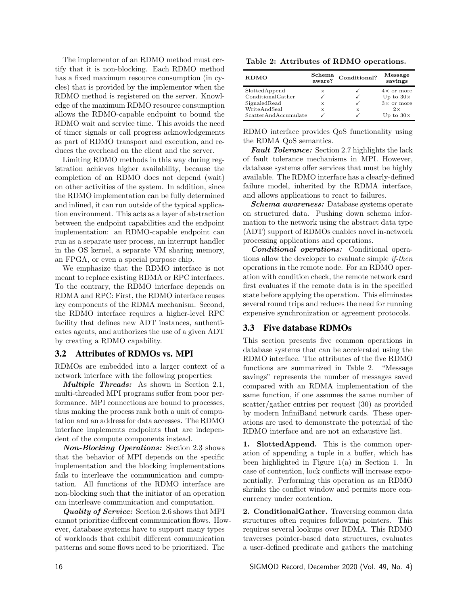The implementor of an RDMO method must certify that it is non-blocking. Each RDMO method has a fixed maximum resource consumption (in cycles) that is provided by the implementor when the RDMO method is registered on the server. Knowledge of the maximum RDMO resource consumption allows the RDMO-capable endpoint to bound the RDMO wait and service time. This avoids the need of timer signals or call progress acknowledgements as part of RDMO transport and execution, and reduces the overhead on the client and the server.

Limiting RDMO methods in this way during registration achieves higher availability, because the completion of an RDMO does not depend (wait) on other activities of the system. In addition, since the RDMO implementation can be fully determined and inlined, it can run outside of the typical application environment. This acts as a layer of abstraction between the endpoint capabilities and the endpoint implementation: an RDMO-capable endpoint can run as a separate user process, an interrupt handler in the OS kernel, a separate VM sharing memory, an FPGA, or even a special purpose chip.

We emphasize that the RDMO interface is not meant to replace existing RDMA or RPC interfaces. To the contrary, the RDMO interface depends on RDMA and RPC: First, the RDMO interface reuses key components of the RDMA mechanism. Second, the RDMO interface requires a higher-level RPC facility that defines new ADT instances, authenticates agents, and authorizes the use of a given ADT by creating a RDMO capability.

#### 3.2 Attributes of RDMOs vs. MPI

RDMOs are embedded into a larger context of a network interface with the following properties:

*Multiple Threads:* As shown in Section 2.1, multi-threaded MPI programs suffer from poor performance. MPI connections are bound to processes, thus making the process rank both a unit of computation and an address for data accesses. The RDMO interface implements endpoints that are independent of the compute components instead.

*Non-Blocking Operations:* Section 2.3 shows that the behavior of MPI depends on the specific implementation and the blocking implementations fails to interleave the communication and computation. All functions of the RDMO interface are non-blocking such that the initiator of an operation can interleave communication and computation.

*Quality of Service:* Section 2.6 shows that MPI cannot prioritize different communication flows. However, database systems have to support many types of workloads that exhibit different communication patterns and some flows need to be prioritized. The

| RDMO                 | Schema<br>aware? | Conditional? | Message<br>savings |
|----------------------|------------------|--------------|--------------------|
| SlottedAppend        | X                |              | $4\times$ or more  |
| ConditionalGather    |                  |              | Up to $30\times$   |
| SignaledRead         | $\times$         |              | $3\times$ or more  |
| WriteAndSeal         | ×                | ×            | $2 \times$         |
| ScatterAndAccumulate |                  |              | Up to $30\times$   |

RDMO interface provides QoS functionality using the RDMA QoS semantics.

*Fault Tolerance:* Section 2.7 highlights the lack of fault tolerance mechanisms in MPI. However, database systems offer services that must be highly available. The RDMO interface has a clearly-defined failure model, inherited by the RDMA interface, and allows applications to react to failures.

*Schema awareness:* Database systems operate on structured data. Pushing down schema information to the network using the abstract data type (ADT) support of RDMOs enables novel in-network processing applications and operations.

*Conditional operations:* Conditional operations allow the developer to evaluate simple *if-then* operations in the remote node. For an RDMO operation with condition check, the remote network card first evaluates if the remote data is in the specified state before applying the operation. This eliminates several round trips and reduces the need for running expensive synchronization or agreement protocols.

#### 3.3 Five database RDMOs

This section presents five common operations in database systems that can be accelerated using the RDMO interface. The attributes of the five RDMO functions are summarized in Table 2. "Message savings" represents the number of messages saved compared with an RDMA implementation of the same function, if one assumes the same number of scatter/gather entries per request (30) as provided by modern InfiniBand network cards. These operations are used to demonstrate the potential of the RDMO interface and are not an exhaustive list.

1. SlottedAppend. This is the common operation of appending a tuple in a buffer, which has been highlighted in Figure 1(a) in Section 1. In case of contention, lock conflicts will increase exponentially. Performing this operation as an RDMO shrinks the conflict window and permits more concurrency under contention.

2. ConditionalGather. Traversing common data structures often requires following pointers. This requires several lookups over RDMA. This RDMO traverses pointer-based data structures, evaluates a user-defined predicate and gathers the matching